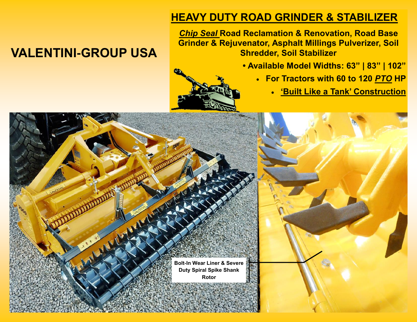# **HEAVY DUTY ROAD GRINDER & STABILIZER**

*Chip Seal* **Road Reclamation & Renovation, Road Base Grinder & Rejuvenator, Asphalt Millings Pulverizer, Soil Shredder, Soil Stabilizer**

- **Available Model Widths: 63" | 83" | 102"**
	- **For Tractors with 60 to 120** *PTO* **HP**
		- **'Built Like a Tank' Construction**

# **Bolt-In Wear Liner & Severe Duty Spiral Spike Shank Rotor**

# **VALENTINI-GROUP USA**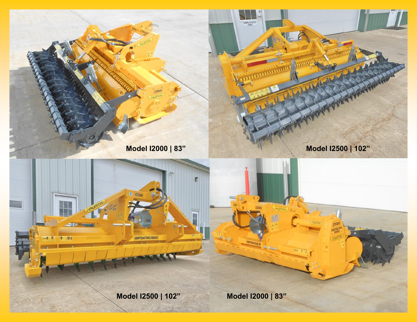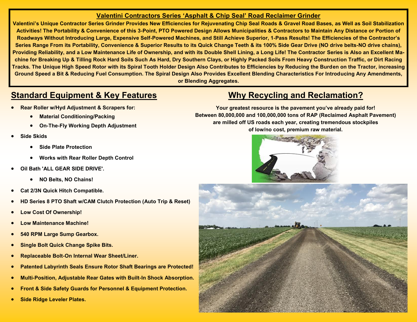#### **Valentini Contractors Series 'Asphalt & Chip Seal' Road Reclaimer Grinder**

**Valentini's Unique Contractor Series Grinder Provides New Efficiencies for Rejuvenating Chip Seal Roads & Gravel Road Bases, as Well as Soil Stabilization Activities! The Portability & Convenience of this 3-Point, PTO Powered Design Allows Municipalities & Contractors to Maintain Any Distance or Portion of Roadways Without Introducing Large, Expensive Self-Powered Machines, and Still Achieve Superior, 1-Pass Results! The Efficiencies of the Contractor's Series Range From its Portability, Convenience & Superior Results to its Quick Change Teeth & its 100% Side Gear Drive (NO drive belts-NO drive chains), Providing Reliability, and a Low Maintenance Life of Ownership, and with its Double Shell Lining, a Long Life! The Contractor Series is Also an Excellent Machine for Breaking Up & Tilling Rock Hard Soils Such As Hard, Dry Southern Clays, or Highly Packed Soils From Heavy Construction Traffic, or Dirt Racing Tracks. The Unique High Speed Rotor with its Spiral Tooth Holder Design Also Contributes to Efficiencies by Reducing the Burden on the Tractor, increasing Ground Speed a Bit & Reducing Fuel Consumption. The Spiral Design Also Provides Excellent Blending Characteristics For Introducing Any Amendments, or Blending Aggregates.** 

### **Standard Equipment & Key Features**

- **Rear Roller w/Hyd Adjustment & Scrapers for:**
	- **Material Conditioning/Packing**
	- **On-The-Fly Working Depth Adjustment**
- **Side Skids**
	- **Side Plate Protection**
	- **Works with Rear Roller Depth Control**
- **Oil Bath 'ALL GEAR SIDE DRIVE'.**
	- **NO Belts, NO Chains!**
- **Cat 2/3N Quick Hitch Compatible.**
- **HD Series 8 PTO Shaft w/CAM Clutch Protection (Auto Trip & Reset)**
- **Low Cost Of Ownership!**
- **Low Maintenance Machine!**
- **540 RPM Large Sump Gearbox.**
- **Single Bolt Quick Change Spike Bits.**
- **Replaceable Bolt-On Internal Wear Sheet/Liner.**
- **Patented Labyrinth Seals Ensure Rotor Shaft Bearings are Protected!**
- **Multi-Position, Adjustable Rear Gates with Built-In Shock Absorption.**
- **Front & Side Safety Guards for Personnel & Equipment Protection.**
- **Side Ridge Leveler Plates.**

## **Why Recycling and Reclamation?**

**Your greatest resource is the pavement you've already paid for! Between 80,000,000 and 100,000,000 tons of RAP (Reclaimed Asphalt Pavement) are milled off US roads each year, creating tremendous stockpiles of low/no cost, premium raw material.**